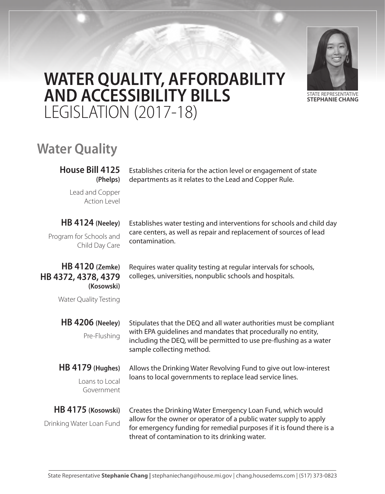

# **WATER QUALITY, AFFORDABILITY AND ACCESSIBILITY BILLS**  LEGISLATION (2017-18)

# **Water Quality**

**House Bill 4125 (Phelps)**

Establishes criteria for the action level or engagement of state departments as it relates to the Lead and Copper Rule.

Lead and Copper Action Level

#### **HB 4124 (Neeley)**

Program for Schools and Child Day Care

# contamination.

Establishes water testing and interventions for schools and child day care centers, as well as repair and replacement of sources of lead

#### **HB 4120 (Zemke) HB 4372, 4378, 4379 (Kosowski)**

Requires water quality testing at regular intervals for schools, colleges, universities, nonpublic schools and hospitals.

Water Quality Testing

**HB 4206 (Neeley)** Pre-Flushing

Stipulates that the DEQ and all water authorities must be compliant with EPA guidelines and mandates that procedurally no entity, including the DEQ, will be permitted to use pre-flushing as a water sample collecting method.

### **HB 4179 (Hughes)**

Loans to Local Government

Allows the Drinking Water Revolving Fund to give out low-interest loans to local governments to replace lead service lines.

# **HB 4175 (Kosowski)**

Drinking Water Loan Fund

Creates the Drinking Water Emergency Loan Fund, which would allow for the owner or operator of a public water supply to apply for emergency funding for remedial purposes if it is found there is a threat of contamination to its drinking water.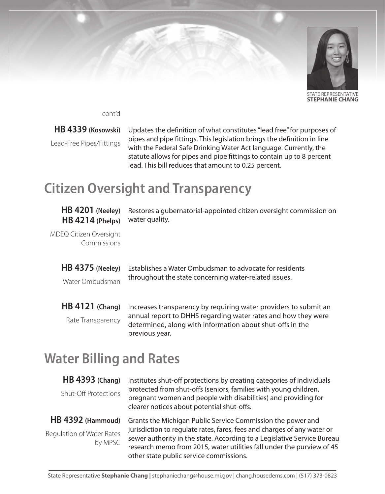

**STEPHANIE CHANG**

cont'd

#### **HB 4339 (Kosowski)**

Lead-Free Pipes/Fittings

Updates the definition of what constitutes "lead free" for purposes of pipes and pipe fittings. This legislation brings the definition in line with the Federal Safe Drinking Water Act language. Currently, the statute allows for pipes and pipe fittings to contain up to 8 percent lead. This bill reduces that amount to 0.25 percent.

# **Citizen Oversight and Transparency**

#### **HB 4201 (Neeley) HB 4214 (Phelps)**

Restores a gubernatorial-appointed citizen oversight commission on water quality.

MDEQ Citizen Oversight Commissions

**HB 4375 (Neeley)**

Water Ombudsman

Establishes a Water Ombudsman to advocate for residents throughout the state concerning water-related issues.

**HB 4121 (Chang)** Rate Transparency

Increases transparency by requiring water providers to submit an annual report to DHHS regarding water rates and how they were determined, along with information about shut-offs in the previous year.

# **Water Billing and Rates**

#### **HB 4393 (Chang)**

Shut-Off Protections

#### **HB 4392 (Hammoud)**

Regulation of Water Rates by MPSC

Institutes shut-off protections by creating categories of individuals protected from shut-offs (seniors, families with young children, pregnant women and people with disabilities) and providing for clearer notices about potential shut-offs.

Grants the Michigan Public Service Commission the power and jurisdiction to regulate rates, fares, fees and charges of any water or sewer authority in the state. According to a Legislative Service Bureau research memo from 2015, water utilities fall under the purview of 45 other state public service commissions.